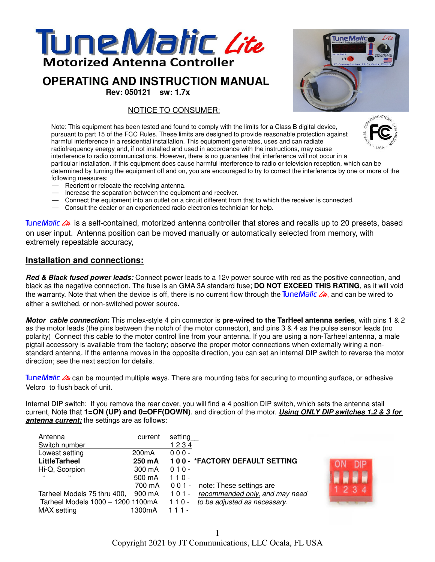

# **OPERATING AND INSTRUCTION MANUAL**

**Rev: 050121 sw: 1.7x**

NOTICE TO CONSUMER:



Note: This equipment has been tested and found to comply with the limits for a Class B digital device, pursuant to part 15 of the FCC Rules. These limits are designed to provide reasonable protection against harmful interference in a residential installation. This equipment generates, uses and can radiate radiofrequency energy and, if not installed and used in accordance with the instructions, may cause interference to radio communications. However, there is no guarantee that interference will not occur in a particular installation. If this equipment does cause harmful interference to radio or television reception, which can be determined by turning the equipment off and on, you are encouraged to try to correct the interference by one or more of the

- following measures:
- Reorient or relocate the receiving antenna. — Increase the separation between the equipment and receiver.
- Connect the equipment into an outlet on a circuit different from that to which the receiver is connected.
- Consult the dealer or an experienced radio electronics technician for help.

TuneMatic **Lite** is a self-contained, motorized antenna controller that stores and recalls up to 20 presets, based on user input. Antenna position can be moved manually or automatically selected from memory, with extremely repeatable accuracy,

## **Installation and connections:**

*Red & Black fused power leads:* Connect power leads to a 12v power source with red as the positive connection, and black as the negative connection. The fuse is an GMA 3A standard fuse; **DO NOT EXCEED THIS RATING**, as it will void the warranty. Note that when the device is off, there is no current flow through the TuneMatic Lite, and can be wired to either a switched, or non-switched power source.

*Motor cable connection***:** This molex-style 4 pin connector is **pre-wired to the TarHeel antenna series**, with pins 1 & 2 as the motor leads (the pins between the notch of the motor connector), and pins 3 & 4 as the pulse sensor leads (no polarity) Connect this cable to the motor control line from your antenna. If you are using a non-Tarheel antenna, a male pigtail accessory is available from the factory; observe the proper motor connections when externally wiring a nonstandard antenna. If the antenna moves in the opposite direction, you can set an internal DIP switch to reverse the motor direction; see the next section for details.

TuneMatic L<sub>ite</sub> can be mounted multiple ways. There are mounting tabs for securing to mounting surface, or adhesive Velcro to flush back of unit.

Internal DIP switch: If you remove the rear cover, you will find a 4 position DIP switch, which sets the antenna stall current, Note that **1=ON (UP) and 0=OFF(DOWN)**. and direction of the motor. *Using ONLY DIP switches 1,2 & 3 for antenna current;* the settings are as follows:

| Antenna                           | current            | setting                                   |
|-----------------------------------|--------------------|-------------------------------------------|
| Switch number                     |                    | 1234                                      |
| Lowest setting                    | 200 <sub>m</sub> A | $000 -$                                   |
| <b>LittleTarheel</b>              | 250 mA             | 100 - * FACTORY DEFAULT SETTING           |
| Hi-Q, Scorpion                    | 300 mA             | $010 -$                                   |
| 66<br>66                          | 500 mA             | $110 -$                                   |
|                                   | 700 mA             | 001 - note: These settings are            |
| Tarheel Models 75 thru 400,       | 900 mA             | recommended only, and may need<br>$101 -$ |
| Tarheel Models 1000 - 1200 1100mA |                    | to be adjusted as necessary.<br>$110 -$   |
| MAX setting                       | 1300mA             | $111 -$                                   |

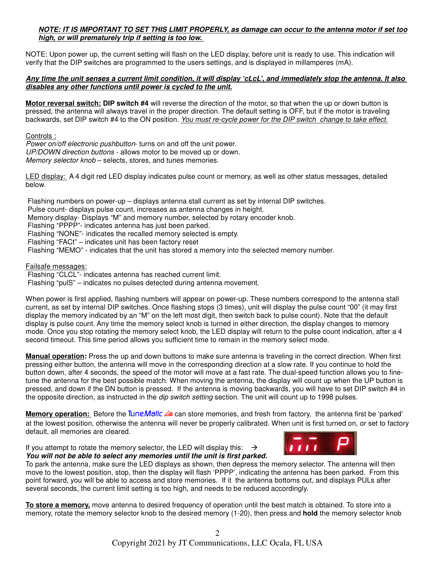## *NOTE: IT IS IMPORTANT TO SET THIS LIMIT PROPERLY, as damage can occur to the antenna motor if set too high, or will prematurely trip if setting is too low.*

NOTE: Upon power up, the current setting will flash on the LED display, before unit is ready to use. This indication will verify that the DIP switches are programmed to the users settings, and is displayed in millamperes (mA).

## *Any time the unit senses a current limit condition, it will display 'cLcL', and immediately stop the antenna. It also disables any other functions until power is cycled to the unit.*

**Motor reversal switch: DIP switch #4** will reverse the direction of the motor, so that when the up or down button is pressed, the antenna will always travel in the proper direction. The default setting is OFF, but if the motor is traveling backwards, set DIP switch #4 to the ON position. *You must re-cycle power for the DIP switch change to take effect.*

Controls :

*Power on/off electronic pushbutton*- turns on and off the unit power. *UP/DOWN direction buttons* - allows motor to be moved up or down. *Memory selector knob* – selects, stores, and tunes memories.

LED display: A 4 digit red LED display indicates pulse count or memory, as well as other status messages, detailed below.

 Flashing numbers on power-up – displays antenna stall current as set by internal DIP switches. Pulse count- displays pulse count, increases as antenna changes in height. Memory display- Displays "M" and memory number, selected by rotary encoder knob. Flashing "PPPP"- indicates antenna has just been parked. Flashing "NONE"- indicates the recalled memory selected is empty. Flashing "FACt" – indicates unit has been factory reset Flashing "MEMO" - indicates that the unit has stored a memory into the selected memory number.

Failsafe messages:

Flashing "CLCL"- indicates antenna has reached current limit.

Flashing "pulS" – indicates no pulses detected during antenna movement.

When power is first applied, flashing numbers will appear on power-up. These numbers correspond to the antenna stall current, as set by internal DIP switches. Once flashing stops (3 times), unit will display the pulse count "00" (it may first display the memory indicated by an "M" on the left most digit, then switch back to pulse count). Note that the default display is pulse count. Any time the memory select knob is turned in either direction, the display changes to memory mode. Once you stop rotating the memory select knob, the LED display will return to the pulse count indication, after a 4 second timeout. This time period allows you sufficient time to remain in the memory select mode.

**Manual operation:** Press the up and down buttons to make sure antenna is traveling in the correct direction. When first pressing either button, the antenna will move in the corresponding direction at a slow rate. If you continue to hold the button down, after 4 seconds, the speed of the motor will move at a fast rate. The dual-speed function allows you to finetune the antenna for the best possible match. When moving the antenna, the display will count up when the UP button is pressed, and down if the DN button is pressed. If the antenna is moving backwards, you will have to set DIP switch #4 in the opposite direction, as instructed in the *dip switch setting* section. The unit will count up to 1998 pulses.

**Memory operation:** Before the TuneMatic *Lite* can store memories, and fresh from factory, the antenna first be 'parked' at the lowest position, otherwise the antenna will never be properly calibrated. When unit is first turned on, or set to factory default, all memories are cleared.

If you attempt to rotate the memory selector, the LED will display this:  $\rightarrow$ *You will not be able to select any memories until the unit is first parked.*



To park the antenna, make sure the LED displays as shown, then depress the memory selector. The antenna will then move to the lowest position, stop, then the display will flash 'PPPP', indicating the antenna has been parked. From this point forward, you will be able to access and store memories. If it the antenna bottoms out, and displays PULs after several seconds, the current limit setting is too high, and needs to be reduced accordingly.

**To store a memory,** move antenna to desired frequency of operation until the best match is obtained. To store into a memory, rotate the memory selector knob to the desired memory (1-20), then press and **hold** the memory selector knob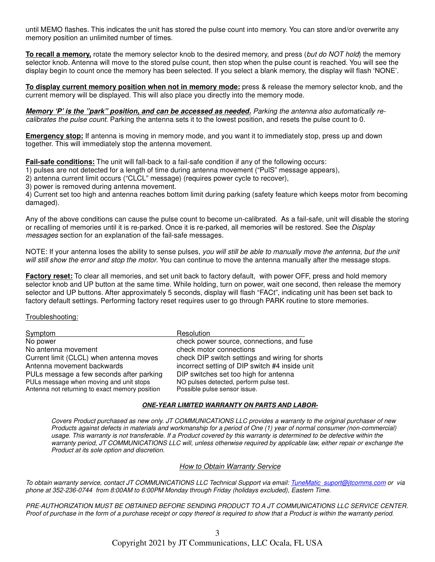until MEMO flashes. This indicates the unit has stored the pulse count into memory. You can store and/or overwrite any memory position an unlimited number of times.

**To recall a memory,** rotate the memory selector knob to the desired memory, and press (*but do NOT hold*) the memory selector knob. Antenna will move to the stored pulse count, then stop when the pulse count is reached. You will see the display begin to count once the memory has been selected. If you select a blank memory, the display will flash 'NONE'.

**To display current memory position when not in memory mode:** press & release the memory selector knob, and the current memory will be displayed. This will also place you directly into the memory mode.

*Memory 'P' is the "park" position, and can be accessed as needed. Parking the antenna also automatically recalibrates the pulse count.* Parking the antenna sets it to the lowest position, and resets the pulse count to 0.

**Emergency stop:** If antenna is moving in memory mode, and you want it to immediately stop, press up and down together. This will immediately stop the antenna movement.

**Fail-safe conditions:** The unit will fall-back to a fail-safe condition if any of the following occurs:

1) pulses are not detected for a length of time during antenna movement ("PulS" message appears),

2) antenna current limit occurs ("CLCL" message) (requires power cycle to recover),

3) power is removed during antenna movement.

4) Current set too high and antenna reaches bottom limit during parking (safety feature which keeps motor from becoming damaged).

Any of the above conditions can cause the pulse count to become un-calibrated. As a fail-safe, unit will disable the storing or recalling of memories until it is re-parked. Once it is re-parked, all memories will be restored. See the *Display messages* section for an explanation of the fail-safe messages.

NOTE: If your antenna loses the ability to sense pulses, *you will still be able to manually move the antenna, but the unit will still show the error and stop the motor.* You can continue to move the antenna manually after the message stops.

**Factory reset:** To clear all memories, and set unit back to factory default, with power OFF, press and hold memory selector knob and UP button at the same time. While holding, turn on power, wait one second, then release the memory selector and UP buttons. After approximately 5 seconds, display will flash "FACt", indicating unit has been set back to factory default settings. Performing factory reset requires user to go through PARK routine to store memories.

### Troubleshooting:

| <b>Symptom</b>                                 | Resolution                                      |
|------------------------------------------------|-------------------------------------------------|
| No power                                       | check power source, connections, and fuse       |
| No antenna movement                            | check motor connections                         |
| Current limit (CLCL) when antenna moves        | check DIP switch settings and wiring for shorts |
| Antenna movement backwards                     | incorrect setting of DIP switch #4 inside unit  |
| PULs message a few seconds after parking       | DIP switches set too high for antenna           |
| PULs message when moving and unit stops        | NO pulses detected, perform pulse test.         |
| Antenna not returning to exact memory position | Possible pulse sensor issue.                    |

#### *ONE-YEAR LIMITED WARRANTY ON PARTS AND LABOR-*

*Covers Product purchased as new only. JT COMMUNICATIONS LLC provides a warranty to the original purchaser of new Products against defects in materials and workmanship for a period of One (1) year of normal consumer (non-commercial) usage. This warranty is not transferable. If a Product covered by this warranty is determined to be defective within the warranty period, JT COMMUNICATIONS LLC will, unless otherwise required by applicable law, either repair or exchange the Product at its sole option and discretion.*

#### *How to Obtain Warranty Service*

*To obtain warranty service, contact JT COMMUNICATIONS LLC Technical Support via email: TuneMatic\_suport@jtcomms.com or via phone at 352-236-0744 from 8:00AM to 6:00PM Monday through Friday (holidays excluded), Eastern Time.*

*PRE-AUTHORIZATION MUST BE OBTAINED BEFORE SENDING PRODUCT TO A JT COMMUNICATIONS LLC SERVICE CENTER. Proof of purchase in the form of a purchase receipt or copy thereof is required to show that a Product is within the warranty period.*